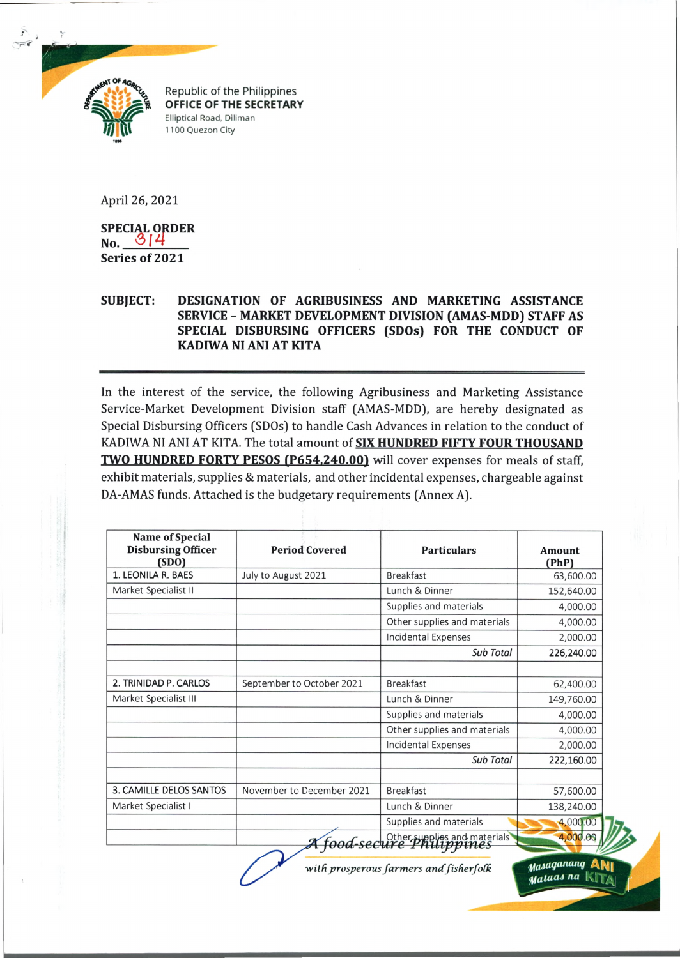

Republic of the Philippines **OFFICE OF THE SECRETARY** Elliptical Road, Diliman 1100 Quezon City

April 26, 2021

**SPECIAL ORDER**  $N_o$   $314$ **Series of 2021**

## **SUBJECT: DESIGNATION OF AGRIBUSINESS AND MARKETING ASSISTANCE SERVICE - MARKET DEVELOPMENT DIVISION (AMAS-MDD) STAFF AS SPECIAL DISBURSING OFFICERS (SDOs) FOR THE CONDUCT OF KADIWA NI ANI AT KITA**

In the interest of the service, the following Agribusiness and Marketing Assistance Service-Market Development Division staff (AMAS-MDD), are hereby designated as Special Disbursing Officers (SDOs) to handle Cash Advances in relation to the conduct of KADIWA NI ANI AT KITA. The total amount of **SIX HUNDRED FIFTY FOUR THOUSAND TWO HUNDRED FORTY PESOS (P654,240.00)** will cover expenses for meals of staff, exhibit materials, supplies & materials, and other incidental expenses, chargeable against DA-AMAS funds. Attached is the budgetary requirements (Annex A).

| <b>Name of Special</b><br><b>Disbursing Officer</b><br>(SDO) | <b>Period Covered</b>     | <b>Particulars</b>           | Amount<br>(PhP) |
|--------------------------------------------------------------|---------------------------|------------------------------|-----------------|
| 1. LEONILA R. BAES                                           | July to August 2021       | <b>Breakfast</b>             | 63,600.00       |
| Market Specialist II                                         |                           | Lunch & Dinner               | 152,640.00      |
|                                                              |                           | Supplies and materials       | 4,000.00        |
|                                                              |                           | Other supplies and materials | 4,000.00        |
|                                                              |                           | <b>Incidental Expenses</b>   | 2,000.00        |
|                                                              |                           | Sub Total                    | 226,240.00      |
| 2. TRINIDAD P. CARLOS                                        | September to October 2021 | <b>Breakfast</b>             | 62,400.00       |
| Market Specialist III                                        |                           | Lunch & Dinner               | 149,760.00      |
|                                                              |                           | Supplies and materials       | 4,000.00        |
|                                                              |                           | Other supplies and materials | 4,000.00        |
|                                                              |                           | <b>Incidental Expenses</b>   | 2,000.00        |
|                                                              |                           | Sub Total                    | 222,160.00      |
| 3. CAMILLE DELOS SANTOS                                      | November to December 2021 | <b>Breakfast</b>             | 57,600.00       |
| Market Specialist I                                          |                           | Lunch & Dinner               | 138,240.00      |
|                                                              |                           | Supplies and materials       | 4,000.00        |
|                                                              |                           | food-secure Philippines      | 4,000.00        |

/ *J*

*with prosperous farmers and fisherfolk Masaganang* A

**Mataas** na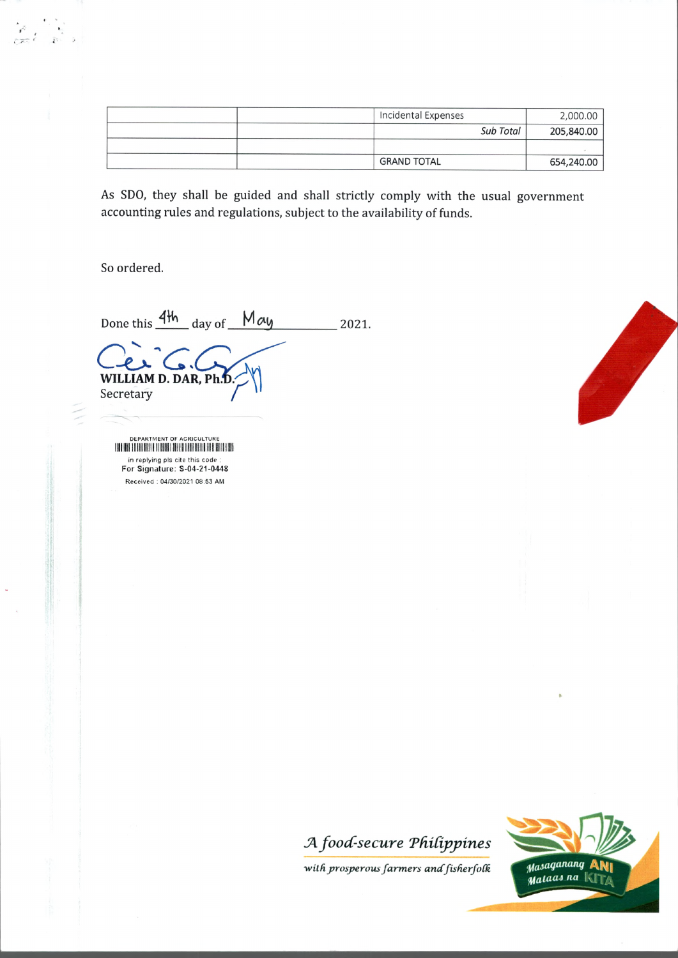| Incidental Expenses |           | 2,000.00   |
|---------------------|-----------|------------|
|                     | Sub Total | 205,840.00 |
|                     |           |            |
| <b>GRAND TOTAL</b>  |           | 654,240.00 |

As SDO, they shall be guided and shall strictly comply with the usual government accounting rules and regulations, subject to the availability of funds.

So ordered.

Done this  $\frac{4\mathfrak{h}}{2021}$  day of  $\frac{May}{2021}$ WILLIAM D. DAR, Ph.D. Secretary

DEPARTMENT OF AGRICULTURE in replying pis cite this code : For Signature: S-04-21-0448 Received : 04/30/2021 08:53 AM





with prosperous farmers and fisherfolk